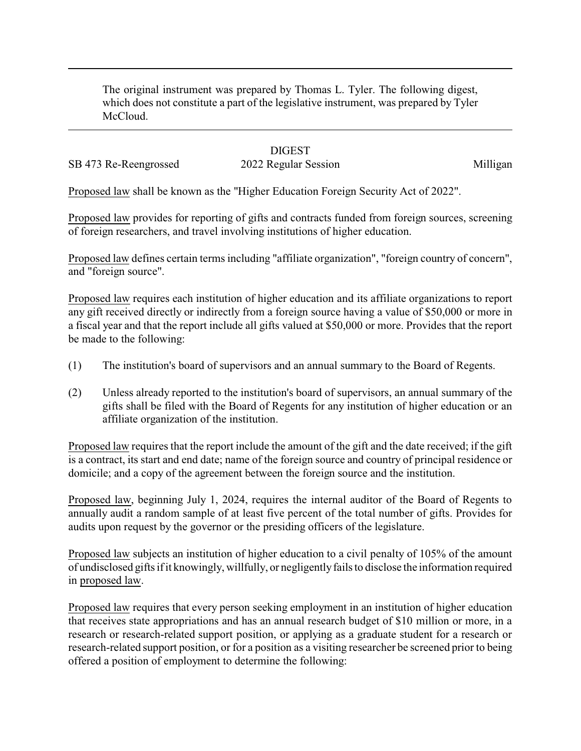The original instrument was prepared by Thomas L. Tyler. The following digest, which does not constitute a part of the legislative instrument, was prepared by Tyler McCloud.

## **DIGEST**

SB 473 Re-Reengrossed 2022 Regular Session 2023 Milligan

Proposed law shall be known as the "Higher Education Foreign Security Act of 2022".

Proposed law provides for reporting of gifts and contracts funded from foreign sources, screening of foreign researchers, and travel involving institutions of higher education.

Proposed law defines certain terms including "affiliate organization", "foreign country of concern", and "foreign source".

Proposed law requires each institution of higher education and its affiliate organizations to report any gift received directly or indirectly from a foreign source having a value of \$50,000 or more in a fiscal year and that the report include all gifts valued at \$50,000 or more. Provides that the report be made to the following:

- (1) The institution's board of supervisors and an annual summary to the Board of Regents.
- (2) Unless already reported to the institution's board of supervisors, an annual summary of the gifts shall be filed with the Board of Regents for any institution of higher education or an affiliate organization of the institution.

Proposed law requires that the report include the amount of the gift and the date received; if the gift is a contract, its start and end date; name of the foreign source and country of principal residence or domicile; and a copy of the agreement between the foreign source and the institution.

Proposed law, beginning July 1, 2024, requires the internal auditor of the Board of Regents to annually audit a random sample of at least five percent of the total number of gifts. Provides for audits upon request by the governor or the presiding officers of the legislature.

Proposed law subjects an institution of higher education to a civil penalty of 105% of the amount of undisclosed gifts if it knowingly, willfully, or negligentlyfails to disclose the information required in proposed law.

Proposed law requires that every person seeking employment in an institution of higher education that receives state appropriations and has an annual research budget of \$10 million or more, in a research or research-related support position, or applying as a graduate student for a research or research-related support position, or for a position as a visiting researcher be screened prior to being offered a position of employment to determine the following: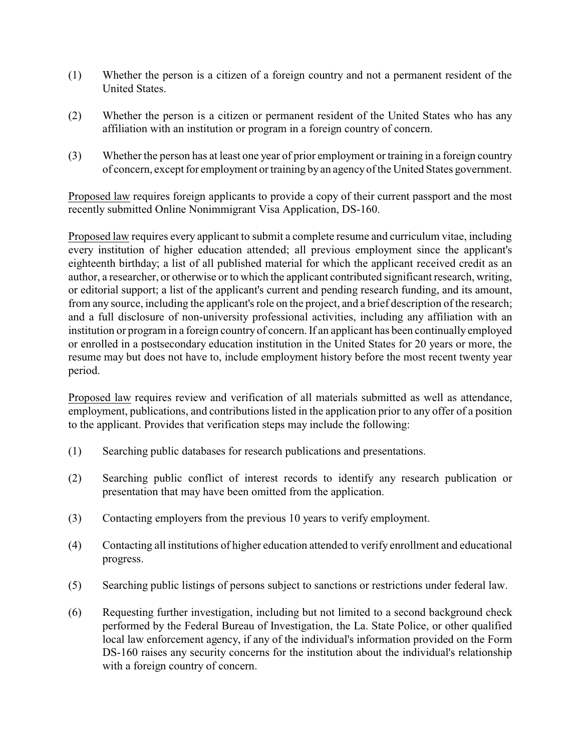- (1) Whether the person is a citizen of a foreign country and not a permanent resident of the United States.
- (2) Whether the person is a citizen or permanent resident of the United States who has any affiliation with an institution or program in a foreign country of concern.
- (3) Whether the person has at least one year of prior employment or training in a foreign country of concern, except for employment or training by an agencyof the United States government.

Proposed law requires foreign applicants to provide a copy of their current passport and the most recently submitted Online Nonimmigrant Visa Application, DS-160.

Proposed law requires every applicant to submit a complete resume and curriculum vitae, including every institution of higher education attended; all previous employment since the applicant's eighteenth birthday; a list of all published material for which the applicant received credit as an author, a researcher, or otherwise or to which the applicant contributed significant research, writing, or editorial support; a list of the applicant's current and pending research funding, and its amount, from any source, including the applicant's role on the project, and a brief description of the research; and a full disclosure of non-university professional activities, including any affiliation with an institution or program in a foreign country of concern. If an applicant has been continually employed or enrolled in a postsecondary education institution in the United States for 20 years or more, the resume may but does not have to, include employment history before the most recent twenty year period.

Proposed law requires review and verification of all materials submitted as well as attendance, employment, publications, and contributions listed in the application prior to any offer of a position to the applicant. Provides that verification steps may include the following:

- (1) Searching public databases for research publications and presentations.
- (2) Searching public conflict of interest records to identify any research publication or presentation that may have been omitted from the application.
- (3) Contacting employers from the previous 10 years to verify employment.
- (4) Contacting all institutions of higher education attended to verify enrollment and educational progress.
- (5) Searching public listings of persons subject to sanctions or restrictions under federal law.
- (6) Requesting further investigation, including but not limited to a second background check performed by the Federal Bureau of Investigation, the La. State Police, or other qualified local law enforcement agency, if any of the individual's information provided on the Form DS-160 raises any security concerns for the institution about the individual's relationship with a foreign country of concern.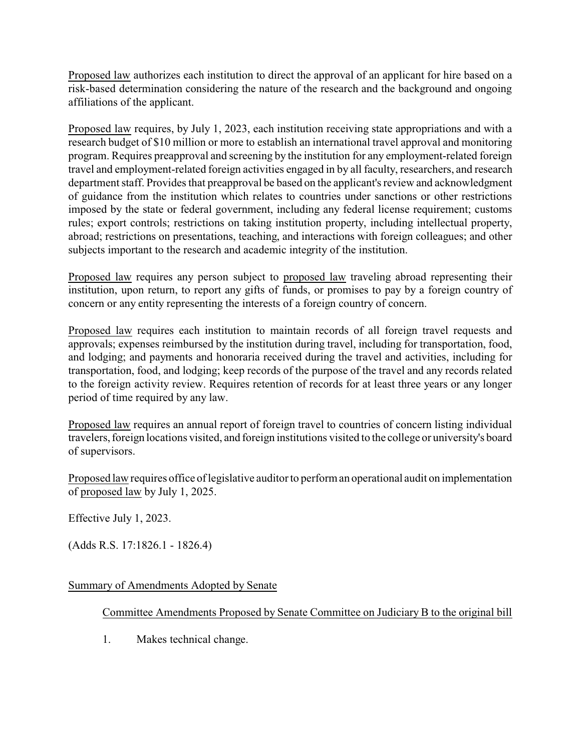Proposed law authorizes each institution to direct the approval of an applicant for hire based on a risk-based determination considering the nature of the research and the background and ongoing affiliations of the applicant.

Proposed law requires, by July 1, 2023, each institution receiving state appropriations and with a research budget of \$10 million or more to establish an international travel approval and monitoring program. Requires preapproval and screening by the institution for any employment-related foreign travel and employment-related foreign activities engaged in by all faculty, researchers, and research department staff. Provides that preapproval be based on the applicant's review and acknowledgment of guidance from the institution which relates to countries under sanctions or other restrictions imposed by the state or federal government, including any federal license requirement; customs rules; export controls; restrictions on taking institution property, including intellectual property, abroad; restrictions on presentations, teaching, and interactions with foreign colleagues; and other subjects important to the research and academic integrity of the institution.

Proposed law requires any person subject to proposed law traveling abroad representing their institution, upon return, to report any gifts of funds, or promises to pay by a foreign country of concern or any entity representing the interests of a foreign country of concern.

Proposed law requires each institution to maintain records of all foreign travel requests and approvals; expenses reimbursed by the institution during travel, including for transportation, food, and lodging; and payments and honoraria received during the travel and activities, including for transportation, food, and lodging; keep records of the purpose of the travel and any records related to the foreign activity review. Requires retention of records for at least three years or any longer period of time required by any law.

Proposed law requires an annual report of foreign travel to countries of concern listing individual travelers, foreign locations visited, and foreign institutions visited to the college or university's board of supervisors.

Proposed law requires office of legislative auditor to perform an operational audit on implementation of proposed law by July 1, 2025.

Effective July 1, 2023.

(Adds R.S. 17:1826.1 - 1826.4)

## Summary of Amendments Adopted by Senate

## Committee Amendments Proposed by Senate Committee on Judiciary B to the original bill

1. Makes technical change.